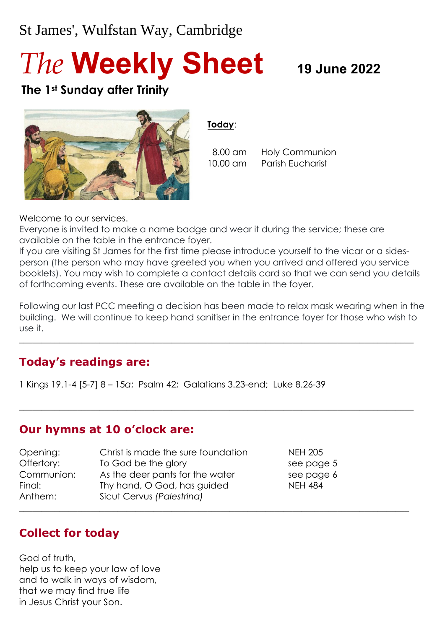# St James', Wulfstan Way, Cambridge

# *The* **Weekly Sheet <sup>19</sup> June <sup>2022</sup>**



**The 1st Sunday after Trinity**

#### **Today**:

 8.00 am Holy Communion 10.00 am Parish Eucharist

Welcome to our services.

Everyone is invited to make a name badge and wear it during the service; these are available on the table in the entrance foyer.

If you are visiting St James for the first time please introduce yourself to the vicar or a sidesperson (the person who may have greeted you when you arrived and offered you service booklets). You may wish to complete a contact details card so that we can send you details of forthcoming events. These are available on the table in the foyer.

Following our last PCC meeting a decision has been made to relax mask wearing when in the building. We will continue to keep hand sanitiser in the entrance foyer for those who wish to use it.

 $\_$  , and the set of the set of the set of the set of the set of the set of the set of the set of the set of the set of the set of the set of the set of the set of the set of the set of the set of the set of the set of th

 $\_$  , and the set of the set of the set of the set of the set of the set of the set of the set of the set of the set of the set of the set of the set of the set of the set of the set of the set of the set of the set of th

# **Today's readings are:**

1 Kings 19.1-4 [5-7] 8 – 15*a*; Psalm 42; Galatians 3.23-end; Luke 8.26-39

### **Our hymns at 10 o'clock are:**

| Opening:   | Christ is made the sure foundation | <b>NEH 205</b> |  |
|------------|------------------------------------|----------------|--|
| Offertory: | To God be the glory                | see page 5     |  |
| Communion: | As the deer pants for the water    | see page 6     |  |
| Final:     | Thy hand, O God, has guided        | <b>NEH 484</b> |  |
| Anthem:    | Sicut Cervus (Palestrina)          |                |  |
|            |                                    |                |  |

# **Collect for today**

God of truth, help us to keep your law of love and to walk in ways of wisdom, that we may find true life in Jesus Christ your Son.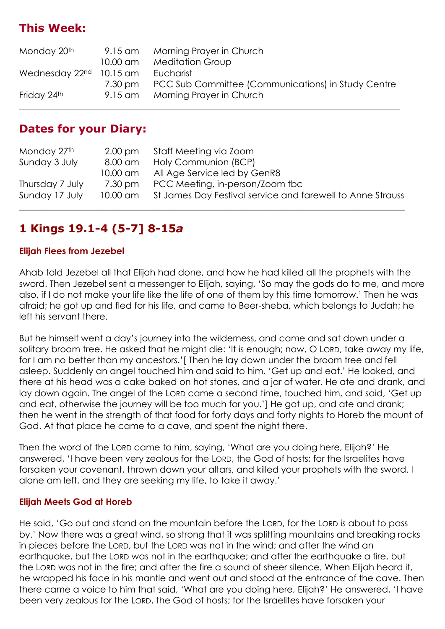# **This Week:**

| Monday 20th                | 9.15 am<br>10.00 am | Morning Prayer in Church<br><b>Meditation Group</b>                     |
|----------------------------|---------------------|-------------------------------------------------------------------------|
| Wednesday 22 <sup>nd</sup> | 10.15 am            | Eucharist<br>7.30 pm PCC Sub Committee (Communications) in Study Centre |
| Friday 24th                | 9.15 am             | Morning Prayer in Church                                                |

# **Dates for your Diary:**

| Monday 27th     | $2.00 \text{ pm}$ | Staff Meeting via Zoom                                     |
|-----------------|-------------------|------------------------------------------------------------|
| Sunday 3 July   | 8.00 am           | Holy Communion (BCP)                                       |
|                 | 10.00 am          | All Age Service led by GenR8                               |
| Thursday 7 July | 7.30 pm           | PCC Meeting, in-person/Zoom tbc                            |
| Sunday 17 July  | 10.00 am          | St James Day Festival service and farewell to Anne Strauss |

# **1 Kings 19.1-4 (5-7] 8-15***a*

#### **Elijah Flees from Jezebel**

Ahab told Jezebel all that Elijah had done, and how he had killed all the prophets with the sword. Then Jezebel sent a messenger to Elijah, saying, 'So may the gods do to me, and more also, if I do not make your life like the life of one of them by this time tomorrow.' Then he was afraid; he got up and fled for his life, and came to Beer-sheba, which belongs to Judah; he left his servant there.

But he himself went a day's journey into the wilderness, and came and sat down under a solitary broom tree. He asked that he might die: 'It is enough; now, O LORD, take away my life, for I am no better than my ancestors.'[ Then he lay down under the broom tree and fell asleep. Suddenly an angel touched him and said to him, 'Get up and eat.' He looked, and there at his head was a cake baked on hot stones, and a jar of water. He ate and drank, and lay down again. The angel of the LORD came a second time, touched him, and said, 'Get up and eat, otherwise the journey will be too much for you.'] He got up, and ate and drank; then he went in the strength of that food for forty days and forty nights to Horeb the mount of God. At that place he came to a cave, and spent the night there.

Then the word of the LORD came to him, saying, 'What are you doing here, Elijah?' He answered, 'I have been very zealous for the LORD, the God of hosts; for the Israelites have forsaken your covenant, thrown down your altars, and killed your prophets with the sword. I alone am left, and they are seeking my life, to take it away.'

#### **Elijah Meets God at Horeb**

He said, 'Go out and stand on the mountain before the LORD, for the LORD is about to pass by.' Now there was a great wind, so strong that it was splitting mountains and breaking rocks in pieces before the LORD, but the LORD was not in the wind; and after the wind an earthquake, but the LORD was not in the earthquake; and after the earthquake a fire, but the LORD was not in the fire; and after the fire a sound of sheer silence. When Elijah heard it, he wrapped his face in his mantle and went out and stood at the entrance of the cave. Then there came a voice to him that said, 'What are you doing here, Elijah?' He answered, 'I have been very zealous for the LORD, the God of hosts; for the Israelites have forsaken your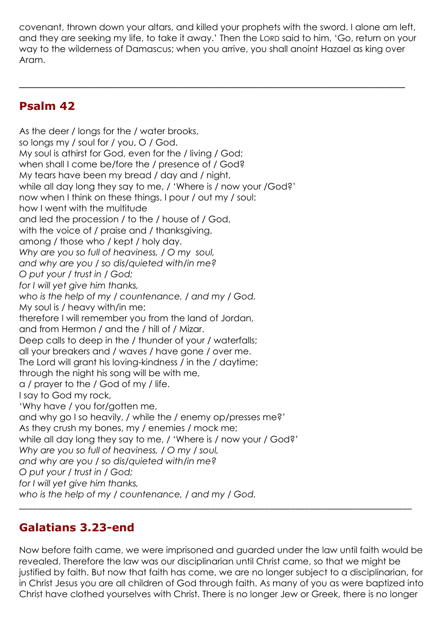covenant, thrown down your altars, and killed your prophets with the sword. I alone am left, and they are seeking my life, to take it away.' Then the LORD said to him, 'Go, return on your way to the wilderness of Damascus; when you arrive, you shall anoint Hazael as king over Aram.

\_\_\_\_\_\_\_\_\_\_\_\_\_\_\_\_\_\_\_\_\_\_\_\_\_\_\_\_\_\_\_\_\_\_\_\_\_\_\_\_\_\_\_\_\_\_\_\_\_\_\_\_\_\_\_\_

# **Psalm 42**

As the deer / longs for the / water brooks, so longs my / soul for / you, O / God. My soul is athirst for God, even for the / living / God; when shall I come be/fore the / presence of / God? My tears have been my bread / day and / night, while all day long they say to me, / 'Where is / now your /God?' now when I think on these things, I pour / out my / soul: how I went with the multitude and led the procession / to the / house of / God, with the voice of / praise and / thanksgiving, among / those who / kept / holy day. *Why are you so full of heaviness, / O my soul, and why are you / so dis/quieted with/in me? O put your / trust in / God; for I will yet give him thanks, who is the help of my / countenance, / and my / God.* My soul is / heavy with/in me; therefore I will remember you from the land of Jordan, and from Hermon / and the / hill of / Mizar. Deep calls to deep in the / thunder of your / waterfalls; all your breakers and / waves / have gone / over me. The Lord will grant his loving-kindness / in the / daytime; through the night his song will be with me, a / prayer to the / God of my / life. I say to God my rock, 'Why have / you for/gotten me, and why go I so heavily, / while the / enemy op/presses me?' As they crush my bones, my / enemies / mock me; while all day long they say to me, / 'Where is / now your / God?' *Why are you so full of heaviness, / O my / soul, and why are you / so dis/quieted with/in me? O put your / trust in / God; for I will yet give him thanks, who is the help of my / countenance, / and my / God.*

### **Galatians 3.23-end**

Now before faith came, we were imprisoned and guarded under the law until faith would be revealed. Therefore the law was our disciplinarian until Christ came, so that we might be justified by faith. But now that faith has come, we are no longer subject to a disciplinarian, for in Christ Jesus you are all children of God through faith. As many of you as were baptized into Christ have clothed yourselves with Christ. There is no longer Jew or Greek, there is no longer

\_\_\_\_\_\_\_\_\_\_\_\_\_\_\_\_\_\_\_\_\_\_\_\_\_\_\_\_\_\_\_\_\_\_\_\_\_\_\_\_\_\_\_\_\_\_\_\_\_\_\_\_\_\_\_\_\_\_\_\_\_\_\_\_\_\_\_\_\_\_\_\_\_\_\_\_\_\_\_\_\_\_\_\_\_\_\_\_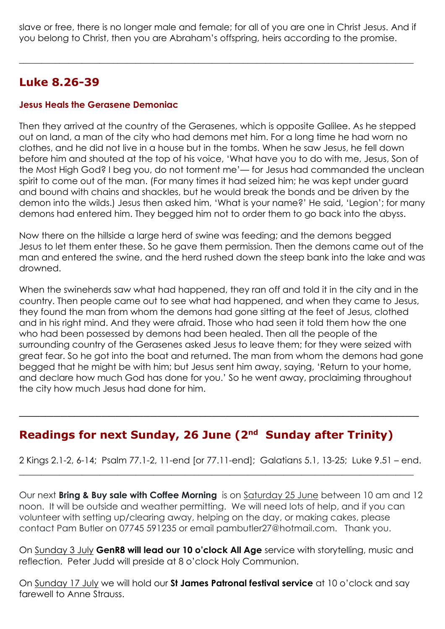slave or free, there is no longer male and female; for all of you are one in Christ Jesus. And if you belong to Christ, then you are Abraham's offspring, heirs according to the promise.

 $\_$  , and the set of the set of the set of the set of the set of the set of the set of the set of the set of the set of the set of the set of the set of the set of the set of the set of the set of the set of the set of th

# **Luke 8.26-39**

#### **Jesus Heals the Gerasene Demoniac**

Then they arrived at the country of the Gerasenes, which is opposite Galilee. As he stepped out on land, a man of the city who had demons met him. For a long time he had worn no clothes, and he did not live in a house but in the tombs. When he saw Jesus, he fell down before him and shouted at the top of his voice, 'What have you to do with me, Jesus, Son of the Most High God? I beg you, do not torment me'— for Jesus had commanded the unclean spirit to come out of the man. (For many times it had seized him; he was kept under guard and bound with chains and shackles, but he would break the bonds and be driven by the demon into the wilds.) Jesus then asked him, 'What is your name?' He said, 'Legion'; for many demons had entered him. They begged him not to order them to go back into the abyss.

Now there on the hillside a large herd of swine was feeding; and the demons begged Jesus to let them enter these. So he gave them permission. Then the demons came out of the man and entered the swine, and the herd rushed down the steep bank into the lake and was drowned.

When the swineherds saw what had happened, they ran off and told it in the city and in the country. Then people came out to see what had happened, and when they came to Jesus, they found the man from whom the demons had gone sitting at the feet of Jesus, clothed and in his right mind. And they were afraid. Those who had seen it told them how the one who had been possessed by demons had been healed. Then all the people of the surrounding country of the Gerasenes asked Jesus to leave them; for they were seized with great fear. So he got into the boat and returned. The man from whom the demons had gone begged that he might be with him; but Jesus sent him away, saying, 'Return to your home, and declare how much God has done for you.' So he went away, proclaiming throughout the city how much Jesus had done for him.

# **Readings for next Sunday, 26 June (2nd Sunday after Trinity)**

2 Kings 2.1-2, 6-14; Psalm 77.1-2, 11-end [or 77.11-end]; Galatians 5.1, 13-25; Luke 9.51 – end.

 $\_$  , and the set of the set of the set of the set of the set of the set of the set of the set of the set of the set of the set of the set of the set of the set of the set of the set of the set of the set of the set of th

\_\_\_\_\_\_\_\_\_\_\_\_\_\_\_\_\_\_\_\_\_\_\_\_\_\_\_\_\_\_\_\_\_\_\_\_\_\_\_\_\_\_\_\_\_\_\_\_\_\_\_\_\_\_\_\_\_\_

Our next **Bring & Buy sale with Coffee Morning** is on Saturday 25 June between 10 am and 12 noon. It will be outside and weather permitting. We will need lots of help, and if you can volunteer with setting up/clearing away, helping on the day, or making cakes, please contact Pam Butler on 07745 591235 or email pambutler27@hotmail.com. Thank you.

On Sunday 3 July **GenR8 will lead our 10 o'clock All Age** service with storytelling, music and reflection. Peter Judd will preside at 8 o'clock Holy Communion.

On Sunday 17 July we will hold our **St James Patronal festival service** at 10 o'clock and say farewell to Anne Strauss.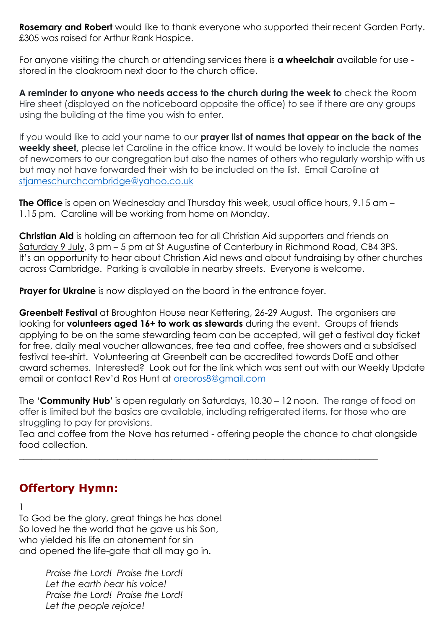**Rosemary and Robert** would like to thank everyone who supported their recent Garden Party. £305 was raised for Arthur Rank Hospice.

For anyone visiting the church or attending services there is **a wheelchair** available for use stored in the cloakroom next door to the church office.

**A reminder to anyone who needs access to the church during the week to** check the Room Hire sheet (displayed on the noticeboard opposite the office) to see if there are any groups using the building at the time you wish to enter.

If you would like to add your name to our **prayer list of names that appear on the back of the weekly sheet,** please let Caroline in the office know. It would be lovely to include the names of newcomers to our congregation but also the names of others who regularly worship with us but may not have forwarded their wish to be included on the list. Email Caroline at [stjameschurchcambridge@yahoo.co.uk](mailto:stjameschurchcambridge@yahoo.co.uk) 

**The Office** is open on Wednesday and Thursday this week, usual office hours, 9.15 am – 1.15 pm. Caroline will be working from home on Monday.

**Christian Aid** is holding an afternoon tea for all Christian Aid supporters and friends on Saturday 9 July, 3 pm – 5 pm at St Augustine of Canterbury in Richmond Road, CB4 3PS. It's an opportunity to hear about Christian Aid news and about fundraising by other churches across Cambridge. Parking is available in nearby streets. Everyone is welcome.

**Prayer for Ukraine** is now displayed on the board in the entrance foyer.

**Greenbelt Festival** at Broughton House near Kettering, 26-29 August. The organisers are looking for **volunteers aged 16+ to work as stewards** during the event. Groups of friends applying to be on the same stewarding team can be accepted, will get a festival day ticket for free, daily meal voucher allowances, free tea and coffee, free showers and a subsidised festival tee-shirt. Volunteering at Greenbelt can be accredited towards DofE and other award schemes. Interested? Look out for the link which was sent out with our Weekly Update email or contact Rev'd Ros Hunt at [oreoros8@gmail.com](mailto:oreoros8@gmail.com)

The '**Community Hub'** is open regularly on Saturdays, 10.30 – 12 noon. The range of food on offer is limited but the basics are available, including refrigerated items, for those who are struggling to pay for provisions.

Tea and coffee from the Nave has returned - offering people the chance to chat alongside food collection.

 $\_$  , and the set of the set of the set of the set of the set of the set of the set of the set of the set of the set of the set of the set of the set of the set of the set of the set of the set of the set of the set of th

# **Offertory Hymn:**

1

To God be the glory, great things he has done! So loved he the world that he gave us his Son, who yielded his life an atonement for sin and opened the life-gate that all may go in.

> *Praise the Lord! Praise the Lord! Let the earth hear his voice! Praise the Lord! Praise the Lord! Let the people rejoice!*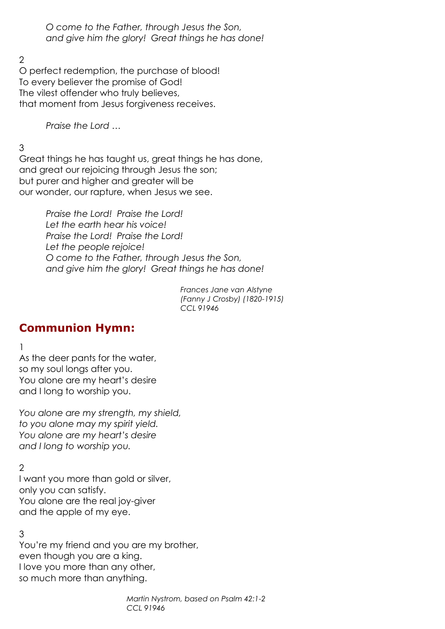*O come to the Father, through Jesus the Son, and give him the glory! Great things he has done!*

2

O perfect redemption, the purchase of blood! To every believer the promise of God! The vilest offender who truly believes, that moment from Jesus forgiveness receives.

*Praise the Lord …*

3

Great things he has taught us, great things he has done, and great our rejoicing through Jesus the son; but purer and higher and greater will be our wonder, our rapture, when Jesus we see.

> *Praise the Lord! Praise the Lord! Let the earth hear his voice! Praise the Lord! Praise the Lord! Let the people rejoice! O come to the Father, through Jesus the Son, and give him the glory! Great things he has done!*

> > *Frances Jane van Alstyne (Fanny J Crosby) (1820-1915) CCL 91946*

# **Communion Hymn:**

1

As the deer pants for the water, so my soul longs after you. You alone are my heart's desire and I long to worship you.

*You alone are my strength, my shield, to you alone may my spirit yield. You alone are my heart's desire and I long to worship you.*

 $\mathcal{D}$ 

I want you more than gold or silver, only you can satisfy. You alone are the real joy-giver and the apple of my eye.

#### 3

You're my friend and you are my brother, even though you are a king. I love you more than any other, so much more than anything.

> *Martin Nystrom, based on Psalm 42:1-2 CCL 91946*